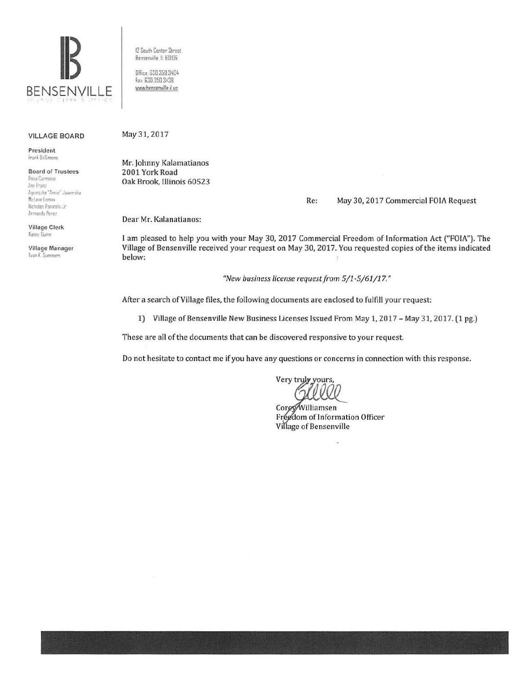

12 South Center Street Bensenville, IL 60106 Office: 630.350.3404 Fax: 630.350.3438

www.bensenville.il.us

## **VILLAGE BOARD**

President Frank DeSimone

**Board of Trustees** Rosa Carmona Ann Franz

Agnierszka "Annie" Jawnyska McLane Lomax Nicholas Panicola Jr. Armando Perez

**Village Clerk** Nancy Duinn

Village Manager Evan K. Summers

May 31, 2017

Mr. Johnny Kalamatianos 2001 York Road Oak Brook, Illinois 60523

> May 30, 2017 Commercial FOIA Request Re:

Dear Mr. Kalanatianos:

I am pleased to help you with your May 30, 2017 Commercial Freedom of Information Act ("FOIA"). The Village of Bensenville received your request on May 30, 2017. You requested copies of the items indicated below:

"New business license request from 5/1-5/61/17."

After a search of Village files, the following documents are enclosed to fulfill your request:

1) Village of Bensenville New Business Licenses Issued From May 1, 2017 - May 31, 2017. (1 pg.)

These are all of the documents that can be discovered responsive to your request.

Do not hesitate to contact me if you have any questions or concerns in connection with this response.

Very truly yours,

CoreyWilliamsen Freedom of Information Officer Village of Bensenville